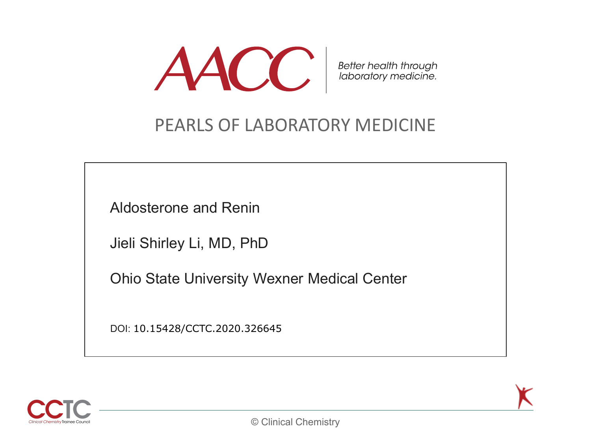

Better health through<br>laboratory medicine.

#### PEARLS OF LABORATORY MEDICINE

Aldosterone and Renin

Jieli Shirley Li, MD, PhD

Ohio State University Wexner Medical Center

DOI: 10.15428/CCTC.2020.326645



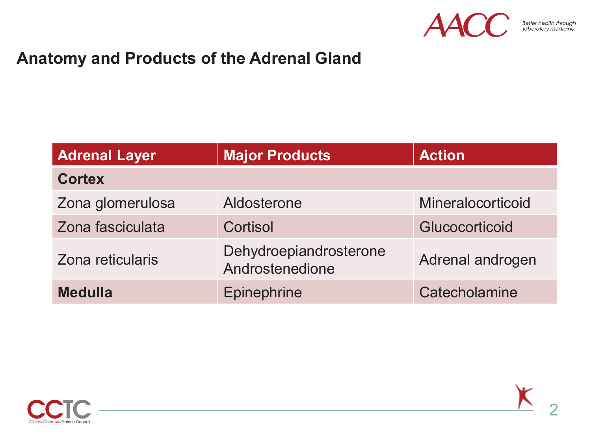

#### **Anatomy and Products of the Adrenal Gland**

| <b>Adrenal Layer</b> | <b>Major Products</b>                     | <b>Action</b>     |
|----------------------|-------------------------------------------|-------------------|
| <b>Cortex</b>        |                                           |                   |
| Zona glomerulosa     | Aldosterone                               | Mineralocorticoid |
| Zona fasciculata     | Cortisol                                  | Glucocorticoid    |
| Zona reticularis     | Dehydroepiandrosterone<br>Androstenedione | Adrenal androgen  |
| <b>Medulla</b>       | Epinephrine                               | Catecholamine     |



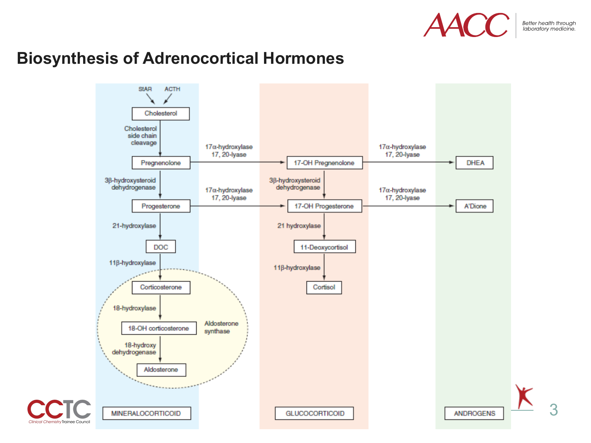

3

#### **Biosynthesis of Adrenocortical Hormones**

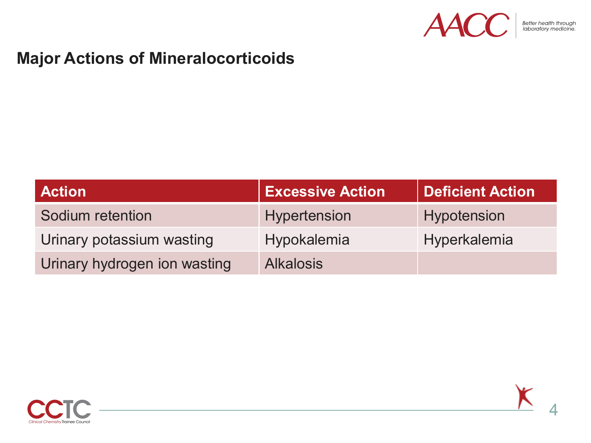

#### **Major Actions of Mineralocorticoids**

| <b>Action</b>                | <b>Excessive Action</b> | <b>Deficient Action</b> |
|------------------------------|-------------------------|-------------------------|
| Sodium retention             | Hypertension            | Hypotension             |
| Urinary potassium wasting    | Hypokalemia             | Hyperkalemia            |
| Urinary hydrogen ion wasting | <b>Alkalosis</b>        |                         |

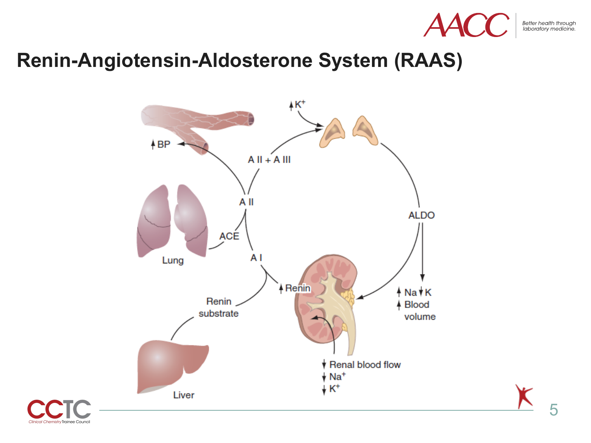

Better health through<br>laboratory medicine.

### **Renin-Angiotensin-Aldosterone System (RAAS)**



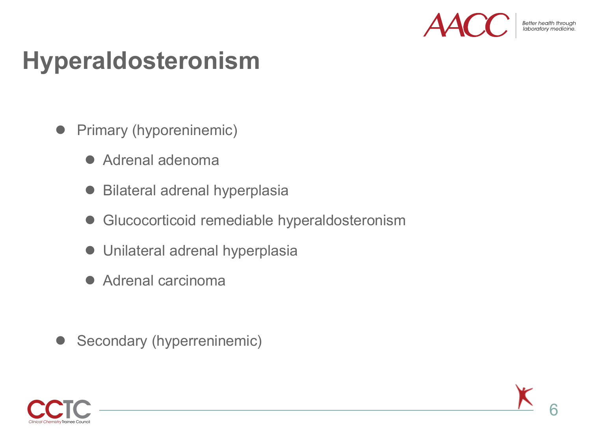

Better health through

## **Hyperaldosteronism**

- Primary (hyporeninemic)
	- Adrenal adenoma
	- Bilateral adrenal hyperplasia
	- Glucocorticoid remediable hyperaldosteronism
	- Unilateral adrenal hyperplasia
	- Adrenal carcinoma
- Secondary (hyperreninemic)



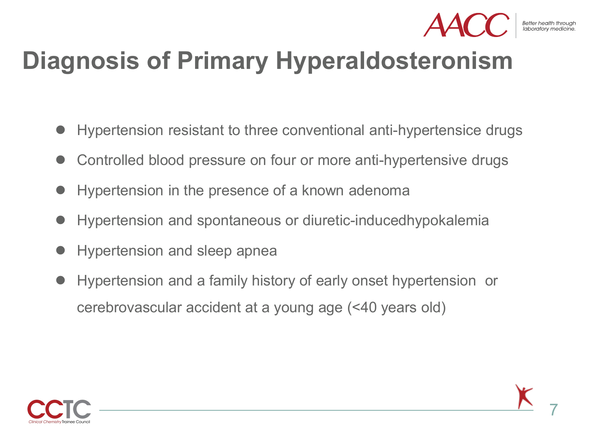

## **Diagnosis of Primary Hyperaldosteronism**

- Hypertension resistant to three conventional anti-hypertensice drugs
- Controlled blood pressure on four or more anti-hypertensive drugs
- Hypertension in the presence of a known adenoma
- Hypertension and spontaneous or diuretic-inducedhypokalemia
- Hypertension and sleep apnea
- Hypertension and a family history of early onset hypertension or cerebrovascular accident at a young age (<40 years old)

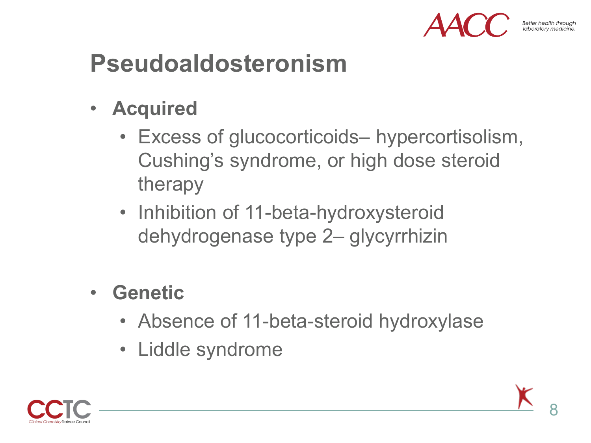

Better health through

# **Pseudoaldosteronism**

- **Acquired**
	- Excess of glucocorticoids– hypercortisolism, Cushing's syndrome, or high dose steroid therapy
	- Inhibition of 11-beta-hydroxysteroid dehydrogenase type 2– glycyrrhizin
- **Genetic**
	- Absence of 11-beta-steroid hydroxylase
	- Liddle syndrome

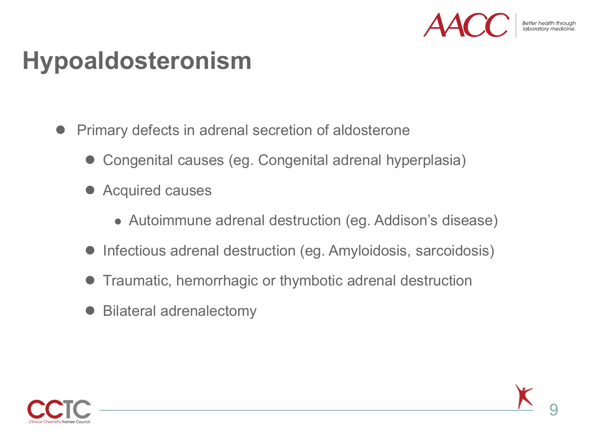

## **Hypoaldosteronism**

- Primary defects in adrenal secretion of aldosterone
	- Congenital causes (eg. Congenital adrenal hyperplasia)
	- Acquired causes
		- Autoimmune adrenal destruction (eg. Addison's disease)
	- Infectious adrenal destruction (eg. Amyloidosis, sarcoidosis)
	- Traumatic, hemorrhagic or thymbotic adrenal destruction
	- Bilateral adrenalectomy

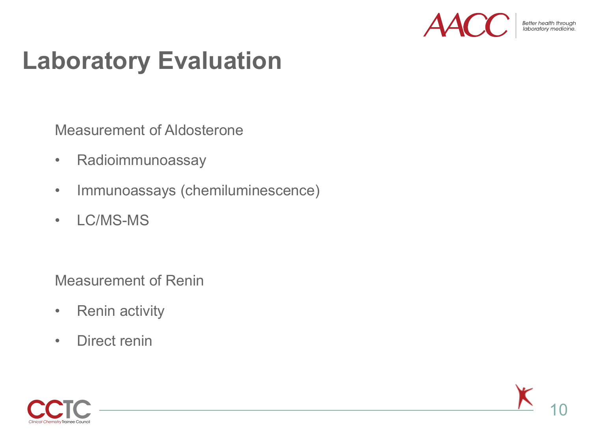

Better health through<br>Jaboratory medicine

# **Laboratory Evaluation**

Measurement of Aldosterone

- Radioimmunoassay
- Immunoassays (chemiluminescence)
- LC/MS-MS

Measurement of Renin

- Renin activity
- Direct renin



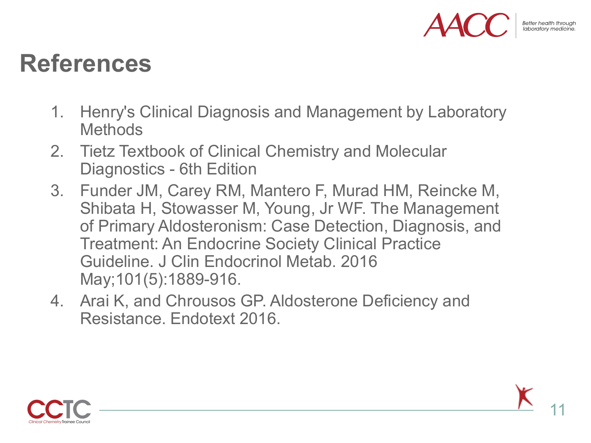

## **References**

- 1. Henry's Clinical Diagnosis and Management by Laboratory **Methods**
- 2. Tietz Textbook of Clinical Chemistry and Molecular Diagnostics - 6th Edition
- 3. Funder JM, Carey RM, Mantero F, Murad HM, Reincke M, Shibata H, Stowasser M, Young, Jr WF. The Management of Primary Aldosteronism: Case Detection, Diagnosis, and Treatment: An Endocrine Society Clinical Practice Guideline. J Clin Endocrinol Metab. 2016 May;101(5):1889-916.
- 4. Arai K, and Chrousos GP. Aldosterone Deficiency and Resistance. Endotext 2016.

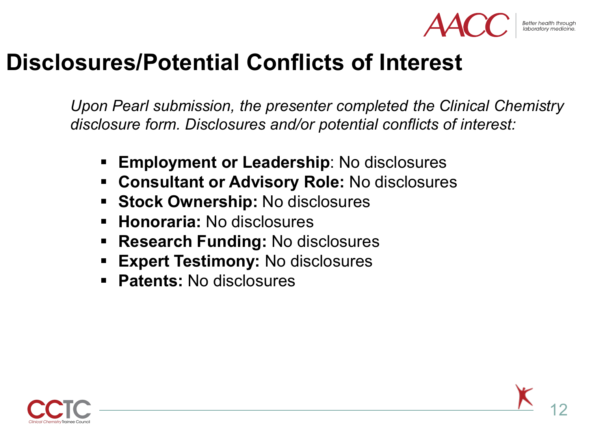

Better health througl

## **Disclosures/Potential Conflicts of Interest**

*Upon Pearl submission, the presenter completed the Clinical Chemistry disclosure form. Disclosures and/or potential conflicts of interest:*

- **Employment or Leadership**: No disclosures
- **Consultant or Advisory Role:** No disclosures
- **Stock Ownership:** No disclosures
- **Honoraria:** No disclosures
- **Research Funding: No disclosures**
- **Expert Testimony: No disclosures**
- **Patents:** No disclosures